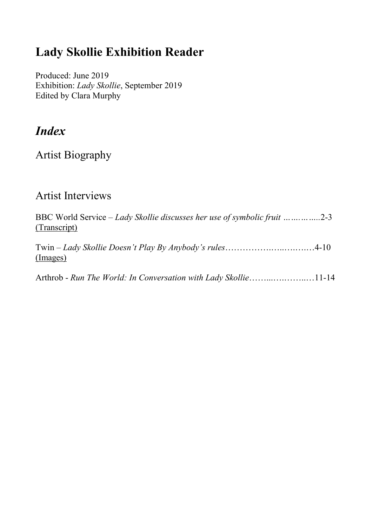#### **Lady Skollie Exhibition Reader**

Produced: June 2019 Exhibition: *Lady Skollie*, September 2019 Edited by Clara Murphy

#### *Index*

Artist Biography

#### Artist Interviews

| BBC World Service – Lady Skollie discusses her use of symbolic fruit   2-3<br>(Transcript) |  |  |
|--------------------------------------------------------------------------------------------|--|--|
| Twin $-Lady Skollie Doesn't Play By Anybody's rules4-10$<br>(Images)                       |  |  |
| Arthrob - Run The World: In Conversation with Lady Skollie11-14                            |  |  |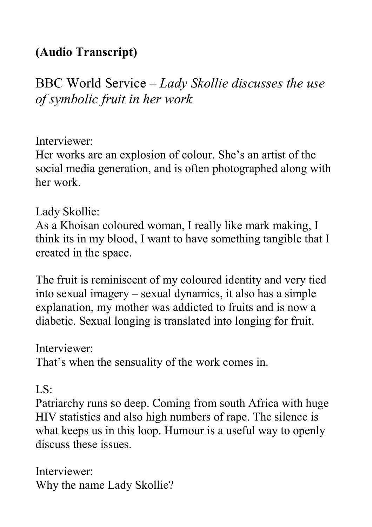#### **(Audio Transcript)**

BBC World Service – *Lady Skollie discusses the use of symbolic fruit in her work*

#### Interviewer:

Her works are an explosion of colour. She's an artist of the social media generation, and is often photographed along with her work.

#### Lady Skollie:

As a Khoisan coloured woman, I really like mark making, I think its in my blood, I want to have something tangible that I created in the space.

The fruit is reminiscent of my coloured identity and very tied into sexual imagery – sexual dynamics, it also has a simple explanation, my mother was addicted to fruits and is now a diabetic. Sexual longing is translated into longing for fruit.

#### Interviewer:

That's when the sensuality of the work comes in.

#### $LS^{\dagger}$

Patriarchy runs so deep. Coming from south Africa with huge HIV statistics and also high numbers of rape. The silence is what keeps us in this loop. Humour is a useful way to openly discuss these issues.

Interviewer: Why the name Lady Skollie?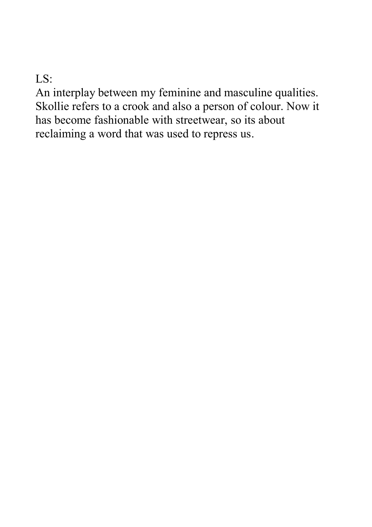LS:

An interplay between my feminine and masculine qualities. Skollie refers to a crook and also a person of colour. Now it has become fashionable with streetwear, so its about reclaiming a word that was used to repress us.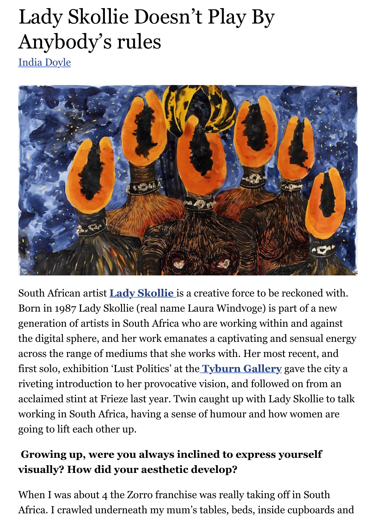# Lady Skollie Doesn't Play By Anybody's rules

[India Doyle](http://www.twinfactory.co.uk/author/india-doyle/)



South African artist **[Lady Skollie](https://www.instagram.com/ladyskollie/?hl=en)** is a creative force to be reckoned with. Born in 1987 Lady Skollie (real name Laura Windvoge) is part of a new generation of artists in South Africa who are working within and against the digital sphere, and her work emanates a captivating and sensual energy across the range of mediums that she works with. Her most recent, and first solo, exhibition 'Lust Politics' at the **[Tyburn Gallery](http://www.tyburngallery.com/artist/lady-skollie/)** gave the city a riveting introduction to her provocative vision, and followed on from an acclaimed stint at Frieze last year. Twin caught up with Lady Skollie to talk working in South Africa, having a sense of humour and how women are going to lift each other up.

# **Growing up, were you always inclined to express yourself visually? How did your aesthetic develop?**

When I was about 4 the Zorro franchise was really taking off in South Africa. I crawled underneath my mum's tables, beds, inside cupboards and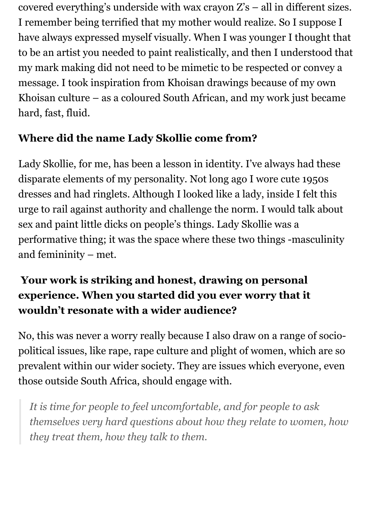covered everything's underside with wax crayon Z's – all in different sizes. I remember being terrified that my mother would realize. So I suppose I have always expressed myself visually. When I was younger I thought that to be an artist you needed to paint realistically, and then I understood that my mark making did not need to be mimetic to be respected or convey a message. I took inspiration from Khoisan drawings because of my own Khoisan culture – as a coloured South African, and my work just became hard, fast, fluid.

### **Where did the name Lady Skollie come from?**

Lady Skollie, for me, has been a lesson in identity. I've always had these disparate elements of my personality. Not long ago I wore cute 1950s dresses and had ringlets. Although I looked like a lady, inside I felt this urge to rail against authority and challenge the norm. I would talk about sex and paint little dicks on people's things. Lady Skollie was a performative thing; it was the space where these two things -masculinity and femininity – met.

# **Your work is striking and honest, drawing on personal experience. When you started did you ever worry that it wouldn't resonate with a wider audience?**

No, this was never a worry really because I also draw on a range of sociopolitical issues, like rape, rape culture and plight of women, which are so prevalent within our wider society. They are issues which everyone, even those outside South Africa, should engage with.

*It is time for people to feel uncomfortable, and for people to ask themselves very hard questions about how they relate to women, how they treat them, how they talk to them.*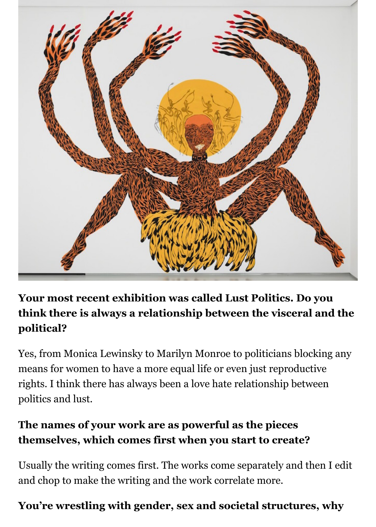

# **Your most recent exhibition was called Lust Politics. Do you think there is always a relationship between the visceral and the political?**

Yes, from Monica Lewinsky to Marilyn Monroe to politicians blocking any means for women to have a more equal life or even just reproductive rights. I think there has always been a love hate relationship between politics and lust.

# **The names of your work are as powerful as the pieces themselves, which comes first when you start to create?**

Usually the writing comes first. The works come separately and then I edit and chop to make the writing and the work correlate more.

#### **You're wrestling with gender, sex and societal structures, why**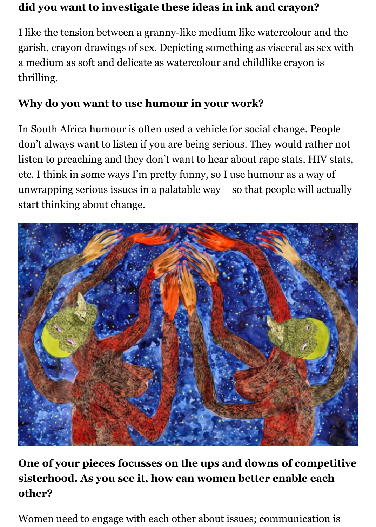#### **did you want to investigate these ideas in ink and crayon?**

I like the tension between a granny-like medium like watercolour and the garish, crayon drawings of sex. Depicting something as visceral as sex with a medium as soft and delicate as watercolour and childlike crayon is thrilling.

#### **Why do you want to use humour in your work?**

In South Africa humour is often used a vehicle for social change. People don't always want to listen if you are being serious. They would rather not listen to preaching and they don't want to hear about rape stats, HIV stats, etc. I think in some ways I'm pretty funny, so I use humour as a way of unwrapping serious issues in a palatable way – so that people will actually start thinking about change.



**One of your pieces focusses on the ups and downs of competitive sisterhood. As you see it, how can women better enable each other?**

Women need to engage with each other about issues; communication is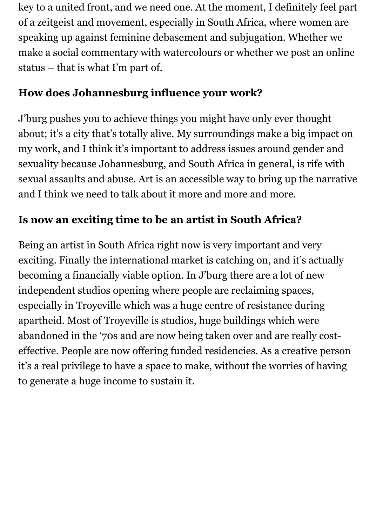key to a united front, and we need one. At the moment, I definitely feel part of a zeitgeist and movement, especially in South Africa, where women are speaking up against feminine debasement and subjugation. Whether we make a social commentary with watercolours or whether we post an online status – that is what I'm part of.

#### **How does Johannesburg influence your work?**

J'burg pushes you to achieve things you might have only ever thought about; it's a city that's totally alive. My surroundings make a big impact on my work, and I think it's important to address issues around gender and sexuality because Johannesburg, and South Africa in general, is rife with sexual assaults and abuse. Art is an accessible way to bring up the narrative and I think we need to talk about it more and more and more.

# **Is now an exciting time to be an artist in South Africa?**

Being an artist in South Africa right now is very important and very exciting. Finally the international market is catching on, and it's actually becoming a financially viable option. In J'burg there are a lot of new independent studios opening where people are reclaiming spaces, especially in Troyeville which was a huge centre of resistance during apartheid. Most of Troyeville is studios, huge buildings which were abandoned in the '70s and are now being taken over and are really costeffective. People are now offering funded residencies. As a creative person it's a real privilege to have a space to make, without the worries of having to generate a huge income to sustain it.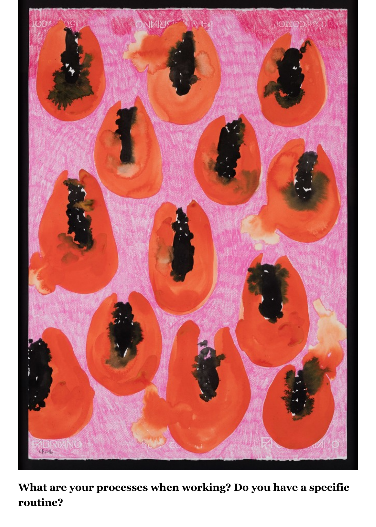

**What are your processes when working? Do you have a specific routine?**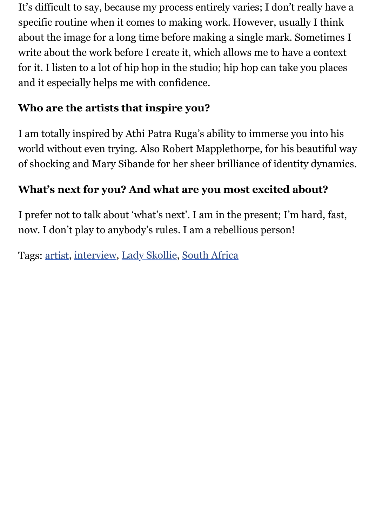It's difficult to say, because my process entirely varies; I don't really have a specific routine when it comes to making work. However, usually I think about the image for a long time before making a single mark. Sometimes I write about the work before I create it, which allows me to have a context for it. I listen to a lot of hip hop in the studio; hip hop can take you places and it especially helps me with confidence.

# **Who are the artists that inspire you?**

I am totally inspired by Athi Patra Ruga's ability to immerse you into his world without even trying. Also Robert Mapplethorpe, for his beautiful way of shocking and Mary Sibande for her sheer brilliance of identity dynamics.

### **What's next for you? And what are you most excited about?**

I prefer not to talk about 'what's next'. I am in the present; I'm hard, fast, now. I don't play to anybody's rules. I am a rebellious person!

Tags: [artist](http://www.twinfactory.co.uk/tag/artist/), [interview](http://www.twinfactory.co.uk/tag/interview/), [Lady Skollie](http://www.twinfactory.co.uk/tag/lady-skollie/), [South Africa](http://www.twinfactory.co.uk/tag/south-africa/)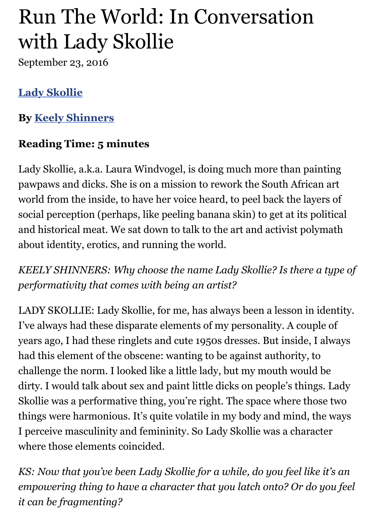# Run The World: In Conversation with Lady Skollie

September 23, 2016

# **[Lady Skollie](https://artthrob.co.za/artist/lady-skollie/)**

**By [Keely Shinners](https://artthrob.co.za/article-author/keely-shinners/)**

# **Reading Time: 5 minutes**

Lady Skollie, a.k.a. Laura Windvogel, is doing much more than painting pawpaws and dicks. She is on a mission to rework the South African art world from the inside, to have her voice heard, to peel back the layers of social perception (perhaps, like peeling banana skin) to get at its political and historical meat. We sat down to talk to the art and activist polymath about identity, erotics, and running the world.

*KEELY SHINNERS: Why choose the name Lady Skollie? Is there a type of performativity that comes with being an artist?*

LADY SKOLLIE: Lady Skollie, for me, has always been a lesson in identity. I've always had these disparate elements of my personality. A couple of years ago, I had these ringlets and cute 1950s dresses. But inside, I always had this element of the obscene: wanting to be against authority, to challenge the norm. I looked like a little lady, but my mouth would be dirty. I would talk about sex and paint little dicks on people's things. Lady Skollie was a performative thing, you're right. The space where those two things were harmonious. It's quite volatile in my body and mind, the ways I perceive masculinity and femininity. So Lady Skollie was a character where those elements coincided.

*KS: Now that you've been Lady Skollie for a while, do you feel like it's an empowering thing to have a character that you latch onto? Or do you feel it can be fragmenting?*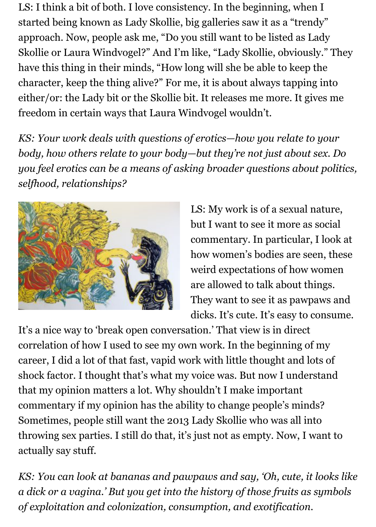LS: I think a bit of both. I love consistency. In the beginning, when I started being known as Lady Skollie, big galleries saw it as a "trendy" approach. Now, people ask me, "Do you still want to be listed as Lady Skollie or Laura Windvogel?" And I'm like, "Lady Skollie, obviously." They have this thing in their minds, "How long will she be able to keep the character, keep the thing alive?" For me, it is about always tapping into either/or: the Lady bit or the Skollie bit. It releases me more. It gives me freedom in certain ways that Laura Windvogel wouldn't.

*KS: Your work deals with questions of erotics—how you relate to your body, how others relate to your body—but they're not just about sex. Do you feel erotics can be a means of asking broader questions about politics, selfhood, relationships?*



LS: My work is of a sexual nature, but I want to see it more as social commentary. In particular, I look at how women's bodies are seen, these weird expectations of how women are allowed to talk about things. They want to see it as pawpaws and dicks. It's cute. It's easy to consume.

It's a nice way to 'break open conversation.' That view is in direct correlation of how I used to see my own work. In the beginning of my career, I did a lot of that fast, vapid work with little thought and lots of shock factor. I thought that's what my voice was. But now I understand that my opinion matters a lot. Why shouldn't I make important commentary if my opinion has the ability to change people's minds? Sometimes, people still want the 2013 Lady Skollie who was all into throwing sex parties. I still do that, it's just not as empty. Now, I want to actually say stuff.

*KS: You can look at bananas and pawpaws and say, 'Oh, cute, it looks like a dick or a vagina.' But you get into the history of those fruits as symbols of exploitation and colonization, consumption, and exotification.*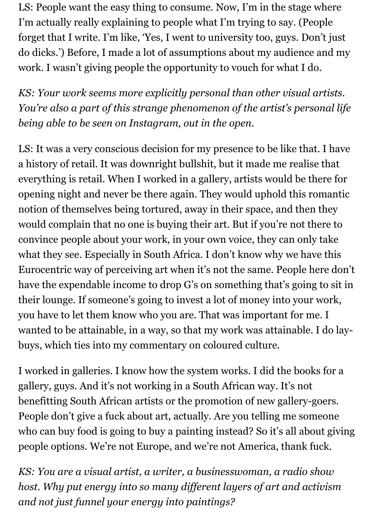LS: People want the easy thing to consume. Now, I'm in the stage where I'm actually really explaining to people what I'm trying to say. (People forget that I write. I'm like, 'Yes, I went to university too, guys. Don't just do dicks.') Before, I made a lot of assumptions about my audience and my work. I wasn't giving people the opportunity to vouch for what I do.

*KS: Your work seems more explicitly personal than other visual artists. You're also a part of this strange phenomenon of the artist's personal life being able to be seen on Instagram, out in the open.* 

LS: It was a very conscious decision for my presence to be like that. I have a history of retail. It was downright bullshit, but it made me realise that everything is retail. When I worked in a gallery, artists would be there for opening night and never be there again. They would uphold this romantic notion of themselves being tortured, away in their space, and then they would complain that no one is buying their art. But if you're not there to convince people about your work, in your own voice, they can only take what they see. Especially in South Africa. I don't know why we have this Eurocentric way of perceiving art when it's not the same. People here don't have the expendable income to drop G's on something that's going to sit in their lounge. If someone's going to invest a lot of money into your work, you have to let them know who you are. That was important for me. I wanted to be attainable, in a way, so that my work was attainable. I do laybuys, which ties into my commentary on coloured culture.

I worked in galleries. I know how the system works. I did the books for a gallery, guys. And it's not working in a South African way. It's not benefitting South African artists or the promotion of new gallery-goers. People don't give a fuck about art, actually. Are you telling me someone who can buy food is going to buy a painting instead? So it's all about giving people options. We're not Europe, and we're not America, thank fuck.

*KS: You are a visual artist, a writer, a businesswoman, a radio show host. Why put energy into so many different layers of art and activism and not just funnel your energy into paintings?*